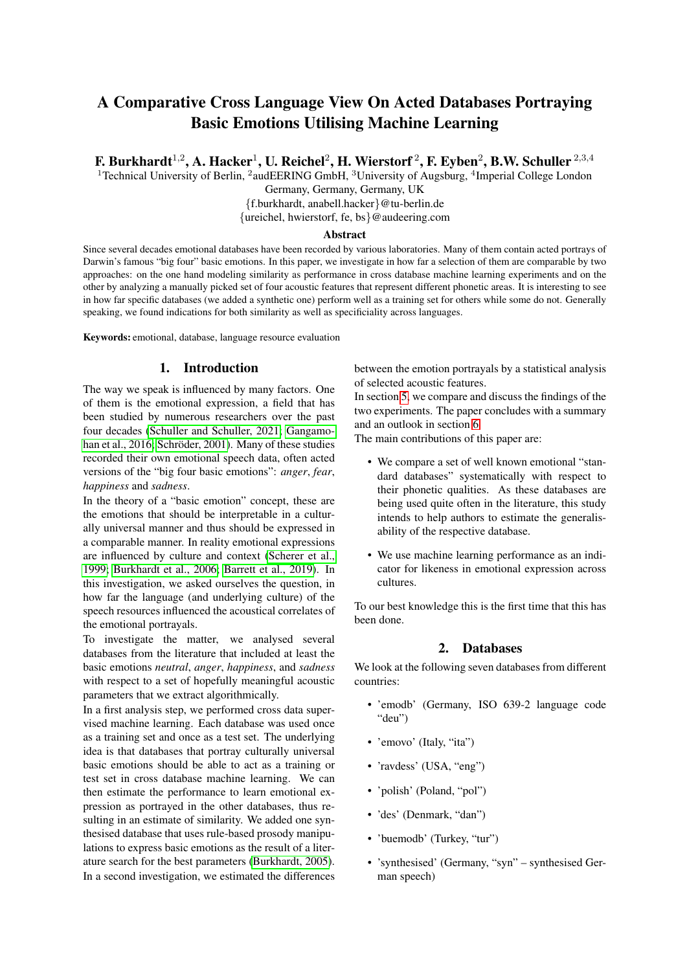# A Comparative Cross Language View On Acted Databases Portraying Basic Emotions Utilising Machine Learning

F. Burkhardt $^{1,2}$ , A. Hacker $^{1}$ , U. Reichel $^{2}$ , H. Wierstorf  $^{2}$ , F. Eyben $^{2}$ , B.W. Schuller  $^{2,3,4}$ 

<sup>1</sup> Technical University of Berlin, <sup>2</sup>audEERING GmbH, <sup>3</sup>University of Augsburg, <sup>4</sup>Imperial College London

Germany, Germany, Germany, UK

{f.burkhardt, anabell.hacker}@tu-berlin.de

{ureichel, hwierstorf, fe, bs}@audeering.com

#### Abstract

Since several decades emotional databases have been recorded by various laboratories. Many of them contain acted portrays of Darwin's famous "big four" basic emotions. In this paper, we investigate in how far a selection of them are comparable by two approaches: on the one hand modeling similarity as performance in cross database machine learning experiments and on the other by analyzing a manually picked set of four acoustic features that represent different phonetic areas. It is interesting to see in how far specific databases (we added a synthetic one) perform well as a training set for others while some do not. Generally speaking, we found indications for both similarity as well as specificiality across languages.

Keywords: emotional, database, language resource evaluation

## 1. Introduction

The way we speak is influenced by many factors. One of them is the emotional expression, a field that has been studied by numerous researchers over the past four decades [\(Schuller and Schuller, 2021;](#page-7-0) [Gangamo](#page-6-0)[han et al., 2016;](#page-6-0) Schröder, 2001). Many of these studies recorded their own emotional speech data, often acted versions of the "big four basic emotions": *anger*, *fear*, *happiness* and *sadness*.

In the theory of a "basic emotion" concept, these are the emotions that should be interpretable in a culturally universal manner and thus should be expressed in a comparable manner. In reality emotional expressions are influenced by culture and context [\(Scherer et al.,](#page-6-2) [1999;](#page-6-2) [Burkhardt et al., 2006;](#page-6-3) [Barrett et al., 2019\)](#page-6-4). In this investigation, we asked ourselves the question, in how far the language (and underlying culture) of the speech resources influenced the acoustical correlates of the emotional portrayals.

To investigate the matter, we analysed several databases from the literature that included at least the basic emotions *neutral*, *anger*, *happiness*, and *sadness* with respect to a set of hopefully meaningful acoustic parameters that we extract algorithmically.

In a first analysis step, we performed cross data supervised machine learning. Each database was used once as a training set and once as a test set. The underlying idea is that databases that portray culturally universal basic emotions should be able to act as a training or test set in cross database machine learning. We can then estimate the performance to learn emotional expression as portrayed in the other databases, thus resulting in an estimate of similarity. We added one synthesised database that uses rule-based prosody manipulations to express basic emotions as the result of a literature search for the best parameters [\(Burkhardt, 2005\)](#page-6-5). In a second investigation, we estimated the differences between the emotion portrayals by a statistical analysis of selected acoustic features.

In section [5,](#page-5-0) we compare and discuss the findings of the two experiments. The paper concludes with a summary and an outlook in section [6](#page-5-1)

The main contributions of this paper are:

- We compare a set of well known emotional "standard databases" systematically with respect to their phonetic qualities. As these databases are being used quite often in the literature, this study intends to help authors to estimate the generalisability of the respective database.
- We use machine learning performance as an indicator for likeness in emotional expression across cultures.

To our best knowledge this is the first time that this has been done.

# 2. Databases

We look at the following seven databases from different countries:

- 'emodb' (Germany, ISO 639-2 language code "deu")
- 'emovo' (Italy, "ita")
- 'ravdess' (USA, "eng")
- 'polish' (Poland, "pol")
- 'des' (Denmark, "dan")
- 'buemodb' (Turkey, "tur")
- 'synthesised' (Germany, "syn" synthesised German speech)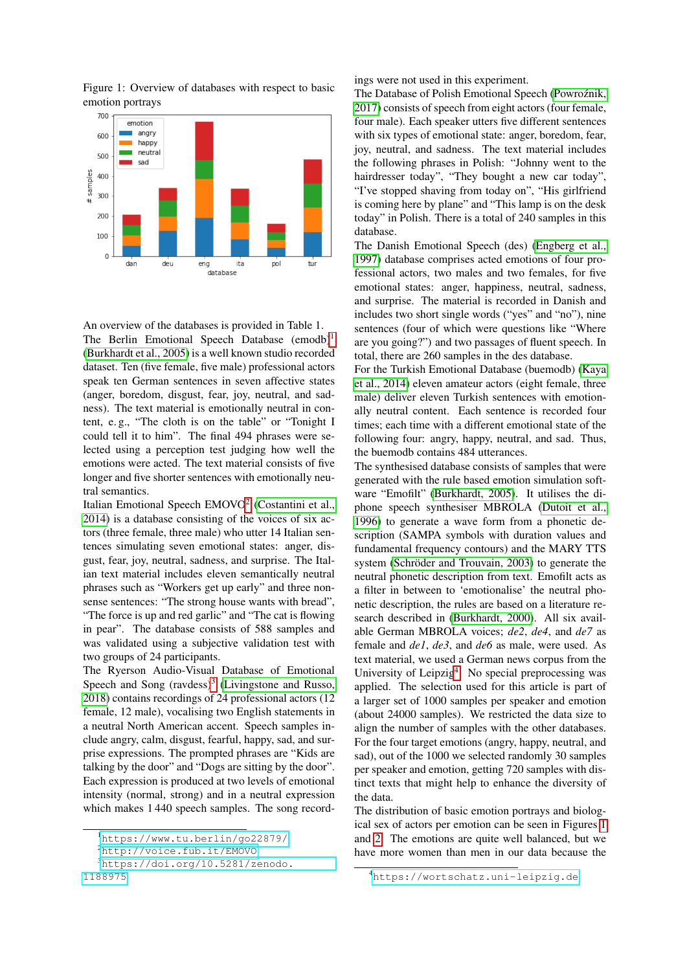

<span id="page-1-4"></span>Figure 1: Overview of databases with respect to basic emotion portrays

An overview of the databases is provided in Table 1. The Berlin Emotional Speech Database  $($ emodb $)^1$  $)^1$ [\(Burkhardt et al., 2005\)](#page-6-6) is a well known studio recorded dataset. Ten (five female, five male) professional actors speak ten German sentences in seven affective states (anger, boredom, disgust, fear, joy, neutral, and sadness). The text material is emotionally neutral in content, e. g., "The cloth is on the table" or "Tonight I could tell it to him". The final 494 phrases were selected using a perception test judging how well the emotions were acted. The text material consists of five longer and five shorter sentences with emotionally neutral semantics.

Italian Emotional Speech EMOVO<sup>[2](#page-1-1)</sup> [\(Costantini et al.,](#page-6-7) [2014\)](#page-6-7) is a database consisting of the voices of six actors (three female, three male) who utter 14 Italian sentences simulating seven emotional states: anger, disgust, fear, joy, neutral, sadness, and surprise. The Italian text material includes eleven semantically neutral phrases such as "Workers get up early" and three nonsense sentences: "The strong house wants with bread", "The force is up and red garlic" and "The cat is flowing in pear". The database consists of 588 samples and was validated using a subjective validation test with two groups of 24 participants.

The Ryerson Audio-Visual Database of Emotional Speech and Song  $(ravdess)^3$  $(ravdess)^3$  [\(Livingstone and Russo,](#page-6-8) [2018\)](#page-6-8) contains recordings of 24 professional actors (12 female, 12 male), vocalising two English statements in a neutral North American accent. Speech samples include angry, calm, disgust, fearful, happy, sad, and surprise expressions. The prompted phrases are "Kids are talking by the door" and "Dogs are sitting by the door". Each expression is produced at two levels of emotional intensity (normal, strong) and in a neutral expression which makes 1 440 speech samples. The song record-

[1188975](https://doi.org/10.5281/zenodo.1188975)

ings were not used in this experiment.

The Database of Polish Emotional Speech (Powroźnik, [2017\)](#page-6-9) consists of speech from eight actors (four female, four male). Each speaker utters five different sentences with six types of emotional state: anger, boredom, fear, joy, neutral, and sadness. The text material includes the following phrases in Polish: "Johnny went to the hairdresser today", "They bought a new car today", "I've stopped shaving from today on", "His girlfriend is coming here by plane" and "This lamp is on the desk today" in Polish. There is a total of 240 samples in this database.

The Danish Emotional Speech (des) [\(Engberg et al.,](#page-6-10) [1997\)](#page-6-10) database comprises acted emotions of four professional actors, two males and two females, for five emotional states: anger, happiness, neutral, sadness, and surprise. The material is recorded in Danish and includes two short single words ("yes" and "no"), nine sentences (four of which were questions like "Where are you going?") and two passages of fluent speech. In total, there are 260 samples in the des database.

For the Turkish Emotional Database (buemodb) [\(Kaya](#page-6-11) [et al., 2014\)](#page-6-11) eleven amateur actors (eight female, three male) deliver eleven Turkish sentences with emotionally neutral content. Each sentence is recorded four times; each time with a different emotional state of the following four: angry, happy, neutral, and sad. Thus, the buemodb contains 484 utterances.

The synthesised database consists of samples that were generated with the rule based emotion simulation software "Emofilt" [\(Burkhardt, 2005\)](#page-6-5). It utilises the diphone speech synthesiser MBROLA [\(Dutoit et al.,](#page-6-12) [1996\)](#page-6-12) to generate a wave form from a phonetic description (SAMPA symbols with duration values and fundamental frequency contours) and the MARY TTS system (Schröder and Trouvain, 2003) to generate the neutral phonetic description from text. Emofilt acts as a filter in between to 'emotionalise' the neutral phonetic description, the rules are based on a literature research described in [\(Burkhardt, 2000\)](#page-6-14). All six available German MBROLA voices; *de2*, *de4*, and *de7* as female and *de1*, *de3*, and *de6* as male, were used. As text material, we used a German news corpus from the University of Leipzig<sup>[4](#page-1-3)</sup>. No special preprocessing was applied. The selection used for this article is part of a larger set of 1000 samples per speaker and emotion (about 24000 samples). We restricted the data size to align the number of samples with the other databases. For the four target emotions (angry, happy, neutral, and sad), out of the 1000 we selected randomly 30 samples per speaker and emotion, getting 720 samples with distinct texts that might help to enhance the diversity of the data.

The distribution of basic emotion portrays and biological sex of actors per emotion can be seen in Figures [1](#page-1-4) and [2.](#page-2-0) The emotions are quite well balanced, but we have more women than men in our data because the

<span id="page-1-1"></span><span id="page-1-0"></span><sup>1</sup><https://www.tu.berlin/go22879/>

<sup>2</sup><http://voice.fub.it/EMOVO>

<span id="page-1-2"></span><sup>3</sup>[https://doi.org/10.5281/zenodo.](https://doi.org/10.5281/zenodo.1188975)

<span id="page-1-3"></span><sup>4</sup><https://wortschatz.uni-leipzig.de>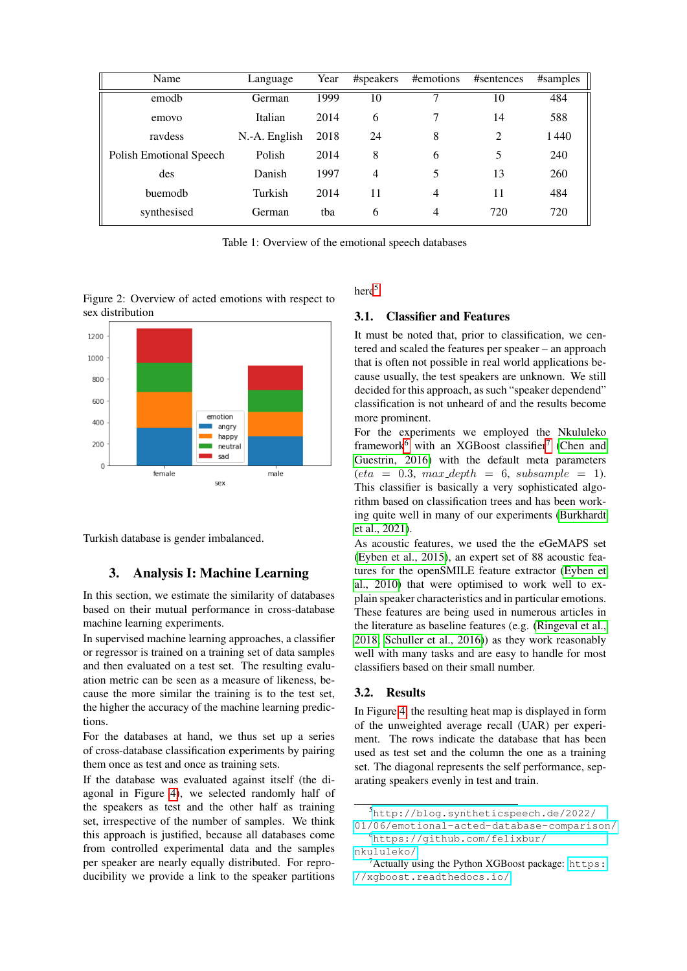| Name                    | Language      | Year | #speakers      | #emotions | #sentences | #samples |
|-------------------------|---------------|------|----------------|-----------|------------|----------|
| emodb                   | German        | 1999 | 10             | ┑         | 10         | 484      |
| emovo                   | Italian       | 2014 | 6              |           | 14         | 588      |
| raydess                 | N.-A. English | 2018 | 24             | 8         | 2          | 1440     |
| Polish Emotional Speech | Polish        | 2014 | 8              | 6         | 5          | 240      |
| des                     | Danish        | 1997 | $\overline{4}$ | 5         | 13         | 260      |
| buemodb                 | Turkish       | 2014 | 11             | 4         | 11         | 484      |
| synthesised             | German        | tha  | 6              | 4         | 720        | 720      |

Table 1: Overview of the emotional speech databases

<span id="page-2-0"></span>Figure 2: Overview of acted emotions with respect to sex distribution



Turkish database is gender imbalanced.

# 3. Analysis I: Machine Learning

In this section, we estimate the similarity of databases based on their mutual performance in cross-database machine learning experiments.

In supervised machine learning approaches, a classifier or regressor is trained on a training set of data samples and then evaluated on a test set. The resulting evaluation metric can be seen as a measure of likeness, because the more similar the training is to the test set, the higher the accuracy of the machine learning predictions.

For the databases at hand, we thus set up a series of cross-database classification experiments by pairing them once as test and once as training sets.

If the database was evaluated against itself (the diagonal in Figure [4\)](#page-4-0), we selected randomly half of the speakers as test and the other half as training set, irrespective of the number of samples. We think this approach is justified, because all databases come from controlled experimental data and the samples per speaker are nearly equally distributed. For reproducibility we provide a link to the speaker partitions here<sup>[5](#page-2-1)</sup>

#### 3.1. Classifier and Features

It must be noted that, prior to classification, we centered and scaled the features per speaker – an approach that is often not possible in real world applications because usually, the test speakers are unknown. We still decided for this approach, as such "speaker dependend" classification is not unheard of and the results become more prominent.

For the experiments we employed the Nkululeko framework<sup>[6](#page-2-2)</sup> with an XGBoost classifier<sup>[7](#page-2-3)</sup> [\(Chen and](#page-6-15) [Guestrin, 2016\)](#page-6-15) with the default meta parameters  $eta = 0.3$ ,  $max\_depth = 6$ ,  $subsample = 1$ ). This classifier is basically a very sophisticated algorithm based on classification trees and has been working quite well in many of our experiments [\(Burkhardt](#page-6-16) [et al., 2021\)](#page-6-16).

As acoustic features, we used the the eGeMAPS set [\(Eyben et al., 2015\)](#page-6-17), an expert set of 88 acoustic features for the openSMILE feature extractor [\(Eyben et](#page-6-18) [al., 2010\)](#page-6-18) that were optimised to work well to explain speaker characteristics and in particular emotions. These features are being used in numerous articles in the literature as baseline features (e.g. [\(Ringeval et al.,](#page-6-19) [2018;](#page-6-19) [Schuller et al., 2016\)](#page-7-1)) as they work reasonably well with many tasks and are easy to handle for most classifiers based on their small number.

#### 3.2. Results

In Figure [4,](#page-4-0) the resulting heat map is displayed in form of the unweighted average recall (UAR) per experiment. The rows indicate the database that has been used as test set and the column the one as a training set. The diagonal represents the self performance, separating speakers evenly in test and train.

<span id="page-2-1"></span><sup>5</sup>[http://blog.syntheticspeech.de/2022/](http://blog.syntheticspeech.de/2022/01/06/emotional-acted-database-comparison/)

<span id="page-2-2"></span>[<sup>01/06/</sup>emotional-acted-database-comparison/](http://blog.syntheticspeech.de/2022/01/06/emotional-acted-database-comparison/) <sup>6</sup>[https://github.com/felixbur/](https://github.com/felixbur/nkululeko/)

[nkululeko/](https://github.com/felixbur/nkululeko/)

<span id="page-2-3"></span> $7$ Actually using the Python XGBoost package: [https:](https://xgboost.readthedocs.io/) [//xgboost.readthedocs.io/](https://xgboost.readthedocs.io/)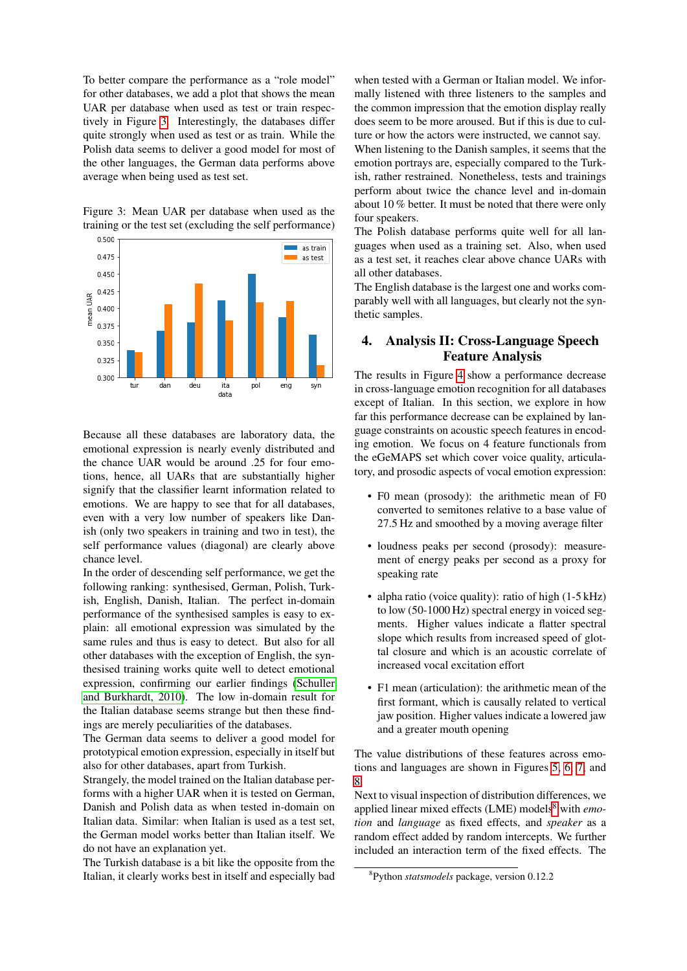To better compare the performance as a "role model" for other databases, we add a plot that shows the mean UAR per database when used as test or train respectively in Figure [3.](#page-3-0) Interestingly, the databases differ quite strongly when used as test or as train. While the Polish data seems to deliver a good model for most of the other languages, the German data performs above average when being used as test set.

<span id="page-3-0"></span>Figure 3: Mean UAR per database when used as the training or the test set (excluding the self performance)



Because all these databases are laboratory data, the emotional expression is nearly evenly distributed and the chance UAR would be around .25 for four emotions, hence, all UARs that are substantially higher signify that the classifier learnt information related to emotions. We are happy to see that for all databases, even with a very low number of speakers like Danish (only two speakers in training and two in test), the self performance values (diagonal) are clearly above chance level.

In the order of descending self performance, we get the following ranking: synthesised, German, Polish, Turkish, English, Danish, Italian. The perfect in-domain performance of the synthesised samples is easy to explain: all emotional expression was simulated by the same rules and thus is easy to detect. But also for all other databases with the exception of English, the synthesised training works quite well to detect emotional expression, confirming our earlier findings [\(Schuller](#page-7-2) [and Burkhardt, 2010\)](#page-7-2). The low in-domain result for the Italian database seems strange but then these findings are merely peculiarities of the databases.

The German data seems to deliver a good model for prototypical emotion expression, especially in itself but also for other databases, apart from Turkish.

Strangely, the model trained on the Italian database performs with a higher UAR when it is tested on German, Danish and Polish data as when tested in-domain on Italian data. Similar: when Italian is used as a test set, the German model works better than Italian itself. We do not have an explanation yet.

The Turkish database is a bit like the opposite from the Italian, it clearly works best in itself and especially bad

when tested with a German or Italian model. We informally listened with three listeners to the samples and the common impression that the emotion display really does seem to be more aroused. But if this is due to culture or how the actors were instructed, we cannot say.

When listening to the Danish samples, it seems that the emotion portrays are, especially compared to the Turkish, rather restrained. Nonetheless, tests and trainings perform about twice the chance level and in-domain about 10 % better. It must be noted that there were only four speakers.

The Polish database performs quite well for all languages when used as a training set. Also, when used as a test set, it reaches clear above chance UARs with all other databases.

The English database is the largest one and works comparably well with all languages, but clearly not the synthetic samples.

# 4. Analysis II: Cross-Language Speech Feature Analysis

The results in Figure [4](#page-4-0) show a performance decrease in cross-language emotion recognition for all databases except of Italian. In this section, we explore in how far this performance decrease can be explained by language constraints on acoustic speech features in encoding emotion. We focus on 4 feature functionals from the eGeMAPS set which cover voice quality, articulatory, and prosodic aspects of vocal emotion expression:

- F0 mean (prosody): the arithmetic mean of F0 converted to semitones relative to a base value of 27.5 Hz and smoothed by a moving average filter
- loudness peaks per second (prosody): measurement of energy peaks per second as a proxy for speaking rate
- alpha ratio (voice quality): ratio of high (1-5 kHz) to low (50-1000 Hz) spectral energy in voiced segments. Higher values indicate a flatter spectral slope which results from increased speed of glottal closure and which is an acoustic correlate of increased vocal excitation effort
- F1 mean (articulation): the arithmetic mean of the first formant, which is causally related to vertical jaw position. Higher values indicate a lowered jaw and a greater mouth opening

The value distributions of these features across emotions and languages are shown in Figures [5,](#page-4-1) [6,](#page-5-2) [7,](#page-5-3) and [8.](#page-5-4)

Next to visual inspection of distribution differences, we applied linear mixed effects (LME) models<sup>[8](#page-3-1)</sup> with *emotion* and *language* as fixed effects, and *speaker* as a random effect added by random intercepts. We further included an interaction term of the fixed effects. The

<span id="page-3-1"></span><sup>8</sup> Python *statsmodels* package, version 0.12.2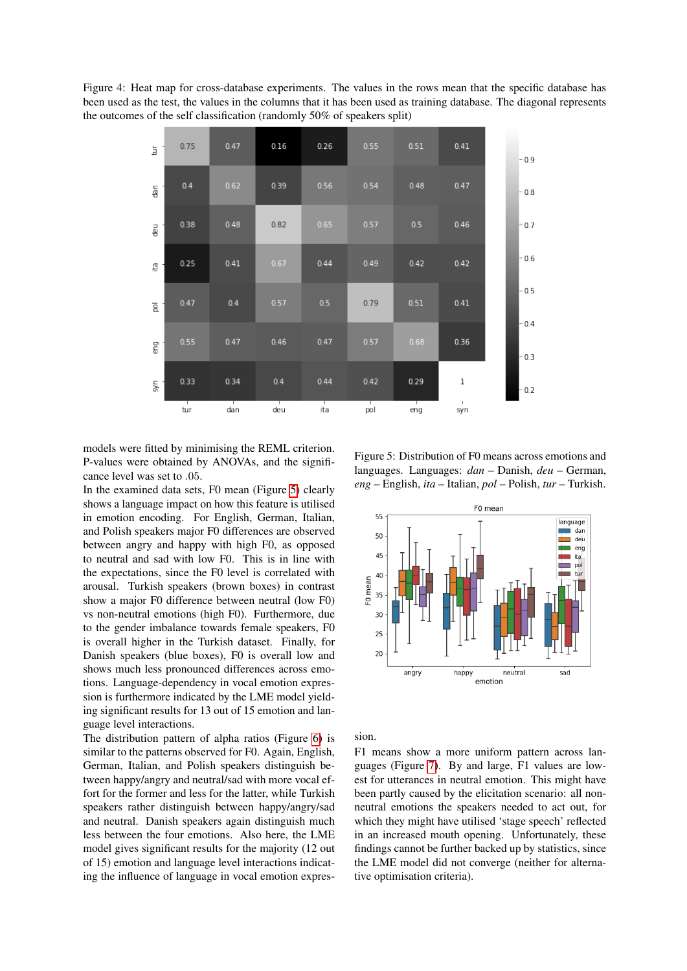Figure 4: Heat map for cross-database experiments. The values in the rows mean that the specific database has been used as the test, the values in the columns that it has been used as training database. The diagonal represents the outcomes of the self classification (randomly 50% of speakers split)

<span id="page-4-0"></span>

models were fitted by minimising the REML criterion. P-values were obtained by ANOVAs, and the significance level was set to .05.

In the examined data sets, F0 mean (Figure [5\)](#page-4-1) clearly shows a language impact on how this feature is utilised in emotion encoding. For English, German, Italian, and Polish speakers major F0 differences are observed between angry and happy with high F0, as opposed to neutral and sad with low F0. This is in line with the expectations, since the F0 level is correlated with arousal. Turkish speakers (brown boxes) in contrast show a major F0 difference between neutral (low F0) vs non-neutral emotions (high F0). Furthermore, due to the gender imbalance towards female speakers, F0 is overall higher in the Turkish dataset. Finally, for Danish speakers (blue boxes), F0 is overall low and shows much less pronounced differences across emotions. Language-dependency in vocal emotion expression is furthermore indicated by the LME model yielding significant results for 13 out of 15 emotion and language level interactions.

The distribution pattern of alpha ratios (Figure [6\)](#page-5-2) is similar to the patterns observed for F0. Again, English, German, Italian, and Polish speakers distinguish between happy/angry and neutral/sad with more vocal effort for the former and less for the latter, while Turkish speakers rather distinguish between happy/angry/sad and neutral. Danish speakers again distinguish much less between the four emotions. Also here, the LME model gives significant results for the majority (12 out of 15) emotion and language level interactions indicating the influence of language in vocal emotion expres-

<span id="page-4-1"></span>Figure 5: Distribution of F0 means across emotions and languages. Languages: *dan* – Danish, *deu* – German, *eng* – English, *ita* – Italian, *pol* – Polish, *tur* – Turkish.



sion.

F1 means show a more uniform pattern across languages (Figure [7\)](#page-5-3). By and large, F1 values are lowest for utterances in neutral emotion. This might have been partly caused by the elicitation scenario: all nonneutral emotions the speakers needed to act out, for which they might have utilised 'stage speech' reflected in an increased mouth opening. Unfortunately, these findings cannot be further backed up by statistics, since the LME model did not converge (neither for alternative optimisation criteria).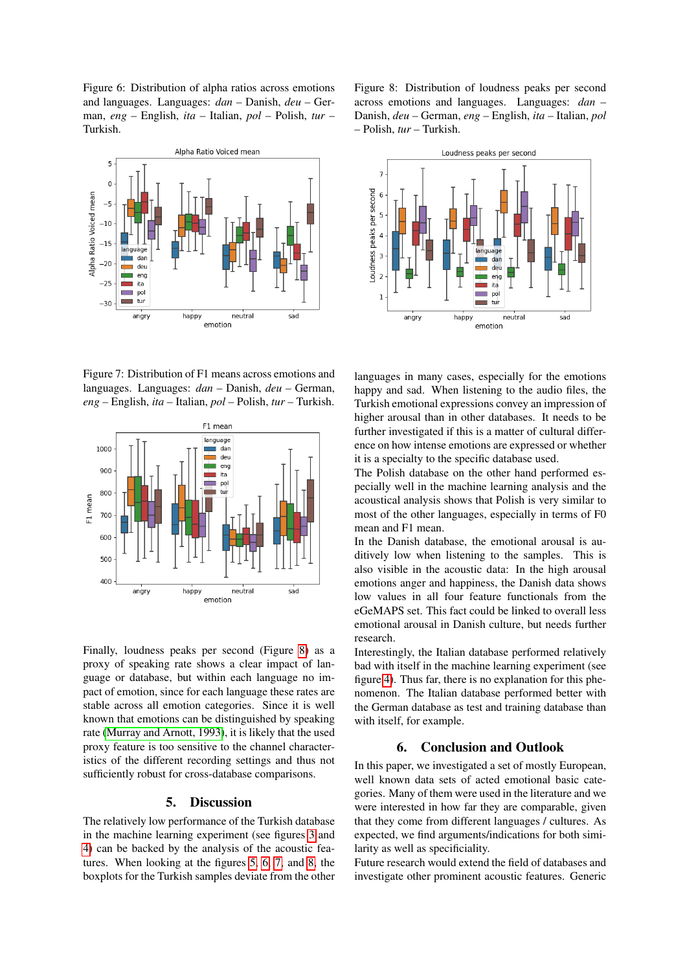<span id="page-5-2"></span>Figure 6: Distribution of alpha ratios across emotions and languages. Languages: *dan* – Danish, *deu* – German, *eng* – English, *ita* – Italian, *pol* – Polish, *tur* – Turkish.



<span id="page-5-3"></span>Figure 7: Distribution of F1 means across emotions and languages. Languages: *dan* – Danish, *deu* – German, *eng* – English, *ita* – Italian, *pol* – Polish, *tur* – Turkish.



Finally, loudness peaks per second (Figure [8\)](#page-5-4) as a proxy of speaking rate shows a clear impact of language or database, but within each language no impact of emotion, since for each language these rates are stable across all emotion categories. Since it is well known that emotions can be distinguished by speaking rate [\(Murray and Arnott, 1993\)](#page-6-20), it is likely that the used proxy feature is too sensitive to the channel characteristics of the different recording settings and thus not sufficiently robust for cross-database comparisons.

#### 5. Discussion

<span id="page-5-0"></span>The relatively low performance of the Turkish database in the machine learning experiment (see figures [3](#page-3-0) and [4\)](#page-4-0) can be backed by the analysis of the acoustic features. When looking at the figures [5,](#page-4-1) [6,](#page-5-2) [7,](#page-5-3) and [8,](#page-5-4) the boxplots for the Turkish samples deviate from the other

<span id="page-5-4"></span>Figure 8: Distribution of loudness peaks per second across emotions and languages. Languages: *dan* – Danish, *deu* – German, *eng* – English, *ita* – Italian, *pol* – Polish, *tur* – Turkish.



languages in many cases, especially for the emotions happy and sad. When listening to the audio files, the Turkish emotional expressions convey an impression of higher arousal than in other databases. It needs to be further investigated if this is a matter of cultural difference on how intense emotions are expressed or whether it is a specialty to the specific database used.

The Polish database on the other hand performed especially well in the machine learning analysis and the acoustical analysis shows that Polish is very similar to most of the other languages, especially in terms of F0 mean and F1 mean.

In the Danish database, the emotional arousal is auditively low when listening to the samples. This is also visible in the acoustic data: In the high arousal emotions anger and happiness, the Danish data shows low values in all four feature functionals from the eGeMAPS set. This fact could be linked to overall less emotional arousal in Danish culture, but needs further research.

Interestingly, the Italian database performed relatively bad with itself in the machine learning experiment (see figure [4\)](#page-4-0). Thus far, there is no explanation for this phenomenon. The Italian database performed better with the German database as test and training database than with itself, for example.

## 6. Conclusion and Outlook

<span id="page-5-1"></span>In this paper, we investigated a set of mostly European, well known data sets of acted emotional basic categories. Many of them were used in the literature and we were interested in how far they are comparable, given that they come from different languages / cultures. As expected, we find arguments/indications for both similarity as well as specificiality.

Future research would extend the field of databases and investigate other prominent acoustic features. Generic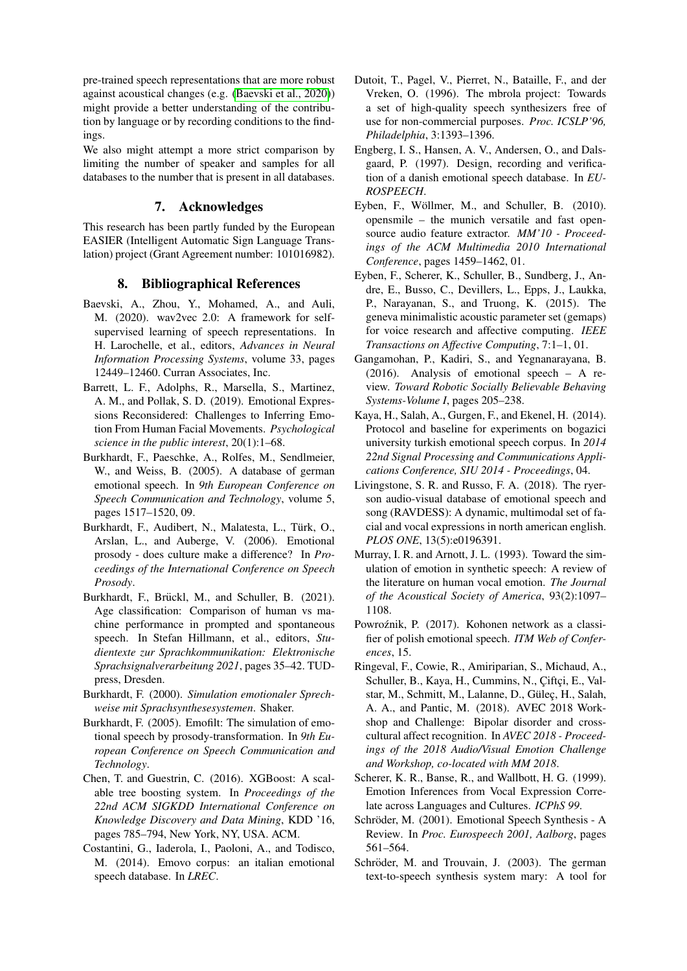pre-trained speech representations that are more robust against acoustical changes (e.g. [\(Baevski et al., 2020\)](#page-6-21)) might provide a better understanding of the contribution by language or by recording conditions to the findings.

We also might attempt a more strict comparison by limiting the number of speaker and samples for all databases to the number that is present in all databases.

# 7. Acknowledges

This research has been partly funded by the European EASIER (Intelligent Automatic Sign Language Translation) project (Grant Agreement number: 101016982).

## 8. Bibliographical References

- <span id="page-6-21"></span>Baevski, A., Zhou, Y., Mohamed, A., and Auli, M. (2020). wav2vec 2.0: A framework for selfsupervised learning of speech representations. In H. Larochelle, et al., editors, *Advances in Neural Information Processing Systems*, volume 33, pages 12449–12460. Curran Associates, Inc.
- <span id="page-6-4"></span>Barrett, L. F., Adolphs, R., Marsella, S., Martinez, A. M., and Pollak, S. D. (2019). Emotional Expressions Reconsidered: Challenges to Inferring Emotion From Human Facial Movements. *Psychological science in the public interest*, 20(1):1–68.
- <span id="page-6-6"></span>Burkhardt, F., Paeschke, A., Rolfes, M., Sendlmeier, W., and Weiss, B. (2005). A database of german emotional speech. In *9th European Conference on Speech Communication and Technology*, volume 5, pages 1517–1520, 09.
- <span id="page-6-3"></span>Burkhardt, F., Audibert, N., Malatesta, L., Türk, O., Arslan, L., and Auberge, V. (2006). Emotional prosody - does culture make a difference? In *Proceedings of the International Conference on Speech Prosody*.
- <span id="page-6-16"></span>Burkhardt, F., Brückl, M., and Schuller, B. (2021). Age classification: Comparison of human vs machine performance in prompted and spontaneous speech. In Stefan Hillmann, et al., editors, *Studientexte zur Sprachkommunikation: Elektronische Sprachsignalverarbeitung 2021*, pages 35–42. TUDpress, Dresden.
- <span id="page-6-14"></span>Burkhardt, F. (2000). *Simulation emotionaler Sprechweise mit Sprachsynthesesystemen*. Shaker.
- <span id="page-6-5"></span>Burkhardt, F. (2005). Emofilt: The simulation of emotional speech by prosody-transformation. In *9th European Conference on Speech Communication and Technology*.
- <span id="page-6-15"></span>Chen, T. and Guestrin, C. (2016). XGBoost: A scalable tree boosting system. In *Proceedings of the 22nd ACM SIGKDD International Conference on Knowledge Discovery and Data Mining*, KDD '16, pages 785–794, New York, NY, USA. ACM.
- <span id="page-6-7"></span>Costantini, G., Iaderola, I., Paoloni, A., and Todisco, M. (2014). Emovo corpus: an italian emotional speech database. In *LREC*.
- <span id="page-6-12"></span>Dutoit, T., Pagel, V., Pierret, N., Bataille, F., and der Vreken, O. (1996). The mbrola project: Towards a set of high-quality speech synthesizers free of use for non-commercial purposes. *Proc. ICSLP'96, Philadelphia*, 3:1393–1396.
- <span id="page-6-10"></span>Engberg, I. S., Hansen, A. V., Andersen, O., and Dalsgaard, P. (1997). Design, recording and verification of a danish emotional speech database. In *EU-ROSPEECH*.
- <span id="page-6-18"></span>Eyben, F., Wöllmer, M., and Schuller, B. (2010). opensmile – the munich versatile and fast opensource audio feature extractor. *MM'10 - Proceedings of the ACM Multimedia 2010 International Conference*, pages 1459–1462, 01.
- <span id="page-6-17"></span>Eyben, F., Scherer, K., Schuller, B., Sundberg, J., Andre, E., Busso, C., Devillers, L., Epps, J., Laukka, P., Narayanan, S., and Truong, K. (2015). The geneva minimalistic acoustic parameter set (gemaps) for voice research and affective computing. *IEEE Transactions on Affective Computing*, 7:1–1, 01.
- <span id="page-6-0"></span>Gangamohan, P., Kadiri, S., and Yegnanarayana, B. (2016). Analysis of emotional speech – A review. *Toward Robotic Socially Believable Behaving Systems-Volume I*, pages 205–238.
- <span id="page-6-11"></span>Kaya, H., Salah, A., Gurgen, F., and Ekenel, H. (2014). Protocol and baseline for experiments on bogazici university turkish emotional speech corpus. In *2014 22nd Signal Processing and Communications Applications Conference, SIU 2014 - Proceedings*, 04.
- <span id="page-6-8"></span>Livingstone, S. R. and Russo, F. A. (2018). The ryerson audio-visual database of emotional speech and song (RAVDESS): A dynamic, multimodal set of facial and vocal expressions in north american english. *PLOS ONE*, 13(5):e0196391.
- <span id="page-6-20"></span>Murray, I. R. and Arnott, J. L. (1993). Toward the simulation of emotion in synthetic speech: A review of the literature on human vocal emotion. *The Journal of the Acoustical Society of America*, 93(2):1097– 1108.
- <span id="page-6-9"></span>Powroźnik, P. (2017). Kohonen network as a classifier of polish emotional speech. *ITM Web of Conferences*, 15.
- <span id="page-6-19"></span>Ringeval, F., Cowie, R., Amiriparian, S., Michaud, A., Schuller, B., Kaya, H., Cummins, N., Çiftçi, E., Valstar, M., Schmitt, M., Lalanne, D., Güleç, H., Salah, A. A., and Pantic, M. (2018). AVEC 2018 Workshop and Challenge: Bipolar disorder and crosscultural affect recognition. In *AVEC 2018 - Proceedings of the 2018 Audio/Visual Emotion Challenge and Workshop, co-located with MM 2018*.
- <span id="page-6-2"></span>Scherer, K. R., Banse, R., and Wallbott, H. G. (1999). Emotion Inferences from Vocal Expression Correlate across Languages and Cultures. *ICPhS 99*.
- <span id="page-6-1"></span>Schröder, M. (2001). Emotional Speech Synthesis - A Review. In *Proc. Eurospeech 2001, Aalborg*, pages 561–564.
- <span id="page-6-13"></span>Schröder, M. and Trouvain, J. (2003). The german text-to-speech synthesis system mary: A tool for